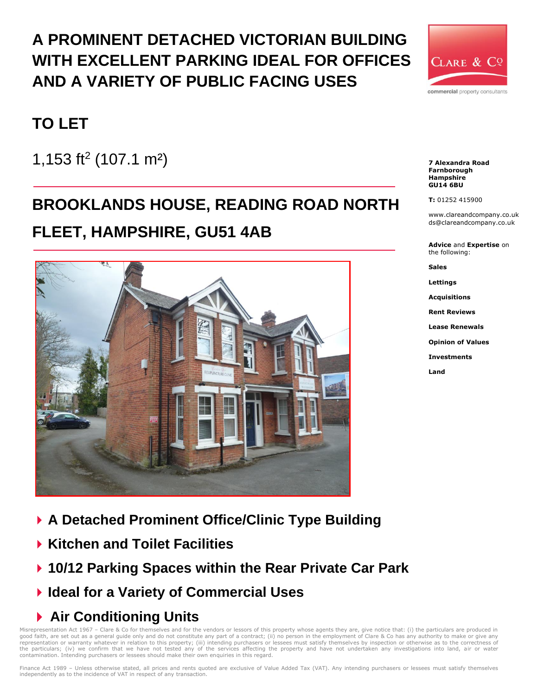## **A PROMINENT DETACHED VICTORIAN BUILDING WITH EXCELLENT PARKING IDEAL FOR OFFICES AND A VARIETY OF PUBLIC FACING USES**



## **TO LET**

1,153 ft<sup>2</sup> (107.1 m<sup>2</sup>)

# **BROOKLANDS HOUSE, READING ROAD NORTH**

## **FLEET, HAMPSHIRE, GU51 4AB**



- **A Detached Prominent Office/Clinic Type Building**
- **Kitchen and Toilet Facilities**
- **10/12 Parking Spaces within the Rear Private Car Park**
- **Ideal for a Variety of Commercial Uses**

## **Air Conditioning Units**

Misrepresentation Act 1967 - Clare & Co for themselves and for the vendors or lessors of this property whose agents they are, give notice that: (i) the particulars are produced in good faith, are set out as a general guide only and do not constitute any part of a contract; (ii) no person in the employment of Clare & Co has any authority to make or give any<br>representation or warranty whatever in rela contamination. Intending purchasers or lessees should make their own enquiries in this regard.

Finance Act 1989 - Unless otherwise stated, all prices and rents quoted are exclusive of Value Added Tax (VAT). Any intending purchasers or lessees must satisfy themselves independently as to the incidence of VAT in respect of any transaction.

**7 Alexandra Road Farnborough Hampshire GU14 6BU**

**T:** 01252 415900

www.clareandcompany.co.uk ds@clareandcompany.co.uk

**Advice** and **Expertise** on the following:

**Sales**

**Lettings**

**Acquisitions**

**Rent Reviews**

**Lease Renewals**

**Opinion of Values**

**Investments**

**Land**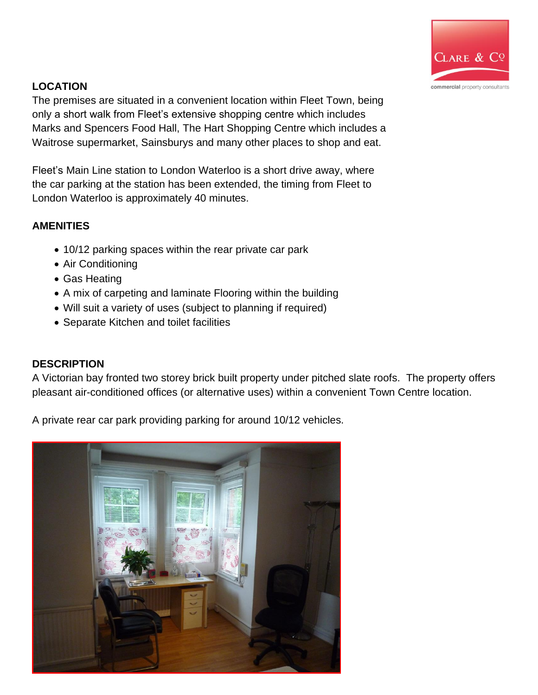

## **LOCATION**

The premises are situated in a convenient location within Fleet Town, being only a short walk from Fleet's extensive shopping centre which includes Marks and Spencers Food Hall, The Hart Shopping Centre which includes a Waitrose supermarket, Sainsburys and many other places to shop and eat.

Fleet's Main Line station to London Waterloo is a short drive away, where the car parking at the station has been extended, the timing from Fleet to London Waterloo is approximately 40 minutes.

## **AMENITIES**

- 10/12 parking spaces within the rear private car park
- Air Conditioning
- Gas Heating
- A mix of carpeting and laminate Flooring within the building
- Will suit a variety of uses (subject to planning if required)
- Separate Kitchen and toilet facilities

### **DESCRIPTION**

A Victorian bay fronted two storey brick built property under pitched slate roofs. The property offers pleasant air-conditioned offices (or alternative uses) within a convenient Town Centre location.

A private rear car park providing parking for around 10/12 vehicles.

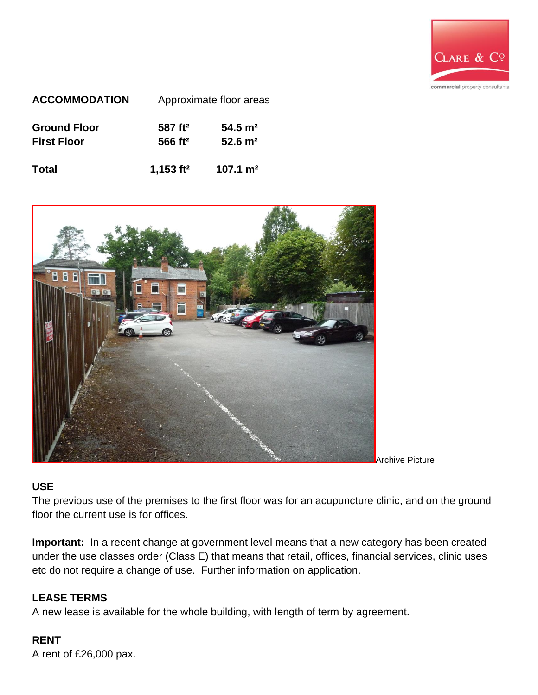

| <b>ACCOMMODATION</b> | Approximate floor areas |                        |
|----------------------|-------------------------|------------------------|
| <b>Ground Floor</b>  | 587 ft <sup>2</sup>     | $54.5 \; \mathrm{m}^2$ |
| <b>First Floor</b>   | 566 ft <sup>2</sup>     | $52.6 \; \mathrm{m}^2$ |
| <b>Total</b>         | 1,153 $ft2$             | $107.1 \text{ m}^2$    |



Archive Picture

#### **USE**

The previous use of the premises to the first floor was for an acupuncture clinic, and on the ground floor the current use is for offices.

**Important:** In a recent change at government level means that a new category has been created under the use classes order (Class E) that means that retail, offices, financial services, clinic uses etc do not require a change of use. Further information on application.

#### **LEASE TERMS**

A new lease is available for the whole building, with length of term by agreement.

### **RENT**

A rent of £26,000 pax.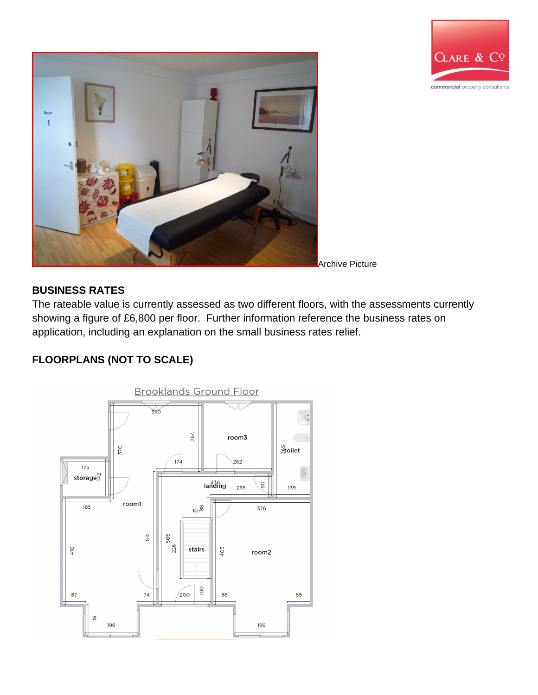



#### **BUSINESS RATES**

The rateable value is currently assessed as two different floors, with the assessments currently showing a figure of £6,800 per floor. Further information reference the business rates on application, including an explanation on the small business rates relief.

## **FLOORPLANS (NOT TO SCALE)**